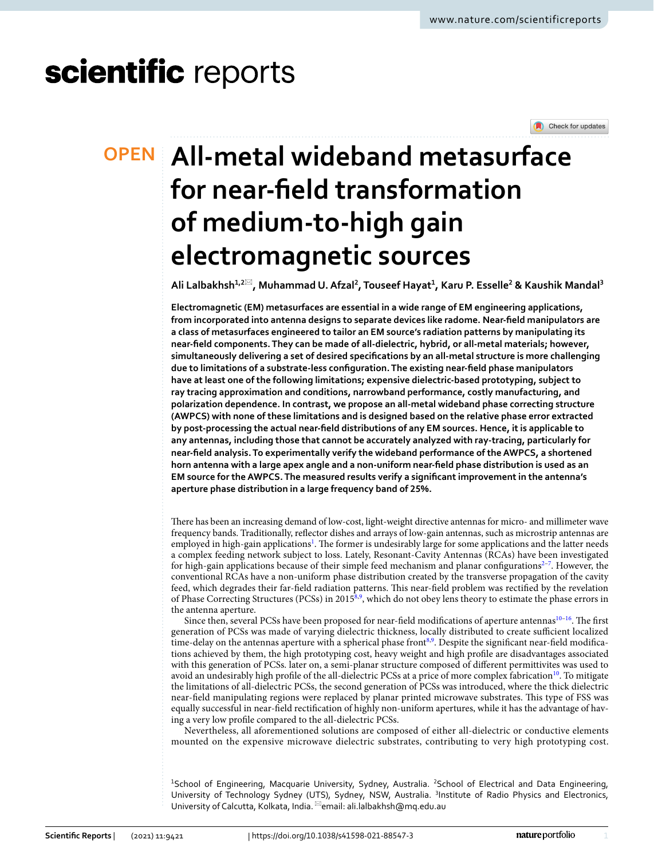# scientific reports



## **All‑metal wideband metasurface OPEN for near‑field transformation of medium‑to‑high gain electromagnetic sources**

**Ali Lalbakhsh1,2**\***, Muhammad U. Afzal<sup>2</sup> , Touseef Hayat<sup>1</sup> , Karu P. Esselle<sup>2</sup> & Kaushik Mandal<sup>3</sup>**

**Electromagnetic (EM) metasurfaces are essential in a wide range of EM engineering applications, from incorporated into antenna designs to separate devices like radome. Near‑field manipulators are a class of metasurfaces engineered to tailor an EM source's radiation patterns by manipulating its near‑field components. They can be made of all‑dielectric, hybrid, or all‑metal materials; however, simultaneously delivering a set of desired specifications by an all‑metal structure is more challenging due to limitations of a substrate‑less configuration. The existing near‑field phase manipulators have at least one of the following limitations; expensive dielectric‑based prototyping, subject to ray tracing approximation and conditions, narrowband performance, costly manufacturing, and polarization dependence. In contrast, we propose an all‑metal wideband phase correcting structure (AWPCS) with none of these limitations and is designed based on the relative phase error extracted by post‑processing the actual near‑field distributions of any EM sources. Hence, it is applicable to any antennas, including those that cannot be accurately analyzed with ray‑tracing, particularly for near‑field analysis. To experimentally verify the wideband performance of the AWPCS, a shortened horn antenna with a large apex angle and a non‑uniform near‑field phase distribution is used as an EM source for the AWPCS. The measured results verify a significant improvement in the antenna's aperture phase distribution in a large frequency band of 25%.**

There has been an increasing demand of low-cost, light-weight directive antennas for micro- and millimeter wave frequency bands. Traditionally, reflector dishes and arrays of low-gain antennas, such as microstrip antennas are employed in high-gain applications<sup>[1](#page-6-0)</sup>. The former is undesirably large for some applications and the latter needs a complex feeding network subject to loss. Lately, Resonant-Cavity Antennas (RCAs) have been investigated for high-gain applications because of their simple feed mechanism and planar configurations $2^{-7}$  $2^{-7}$ . However, the conventional RCAs have a non-uniform phase distribution created by the transverse propagation of the cavity feed, which degrades their far-field radiation patterns. This near-field problem was rectified by the revelation of Phase Correcting Structures (PCSs) in 2015<sup>[8,](#page-6-3)[9](#page-6-4)</sup>, which do not obey lens theory to estimate the phase errors in the antenna aperture.

Since then, several PCSs have been proposed for near-field modifications of aperture antennas<sup>[10–](#page-6-5)[16](#page-7-0)</sup>. The first generation of PCSs was made of varying dielectric thickness, locally distributed to create sufficient localized time-delay on the antennas aperture with a spherical phase front<sup>[8](#page-6-3),[9](#page-6-4)</sup>. Despite the significant near-field modifications achieved by them, the high prototyping cost, heavy weight and high profile are disadvantages associated with this generation of PCSs. later on, a semi-planar structure composed of different permittivites was used to avoid an undesirably high profile of the all-dielectric PCSs at a price of more complex fabrication<sup>[10](#page-6-5)</sup>. To mitigate the limitations of all-dielectric PCSs, the second generation of PCSs was introduced, where the thick dielectric near-field manipulating regions were replaced by planar printed microwave substrates. This type of FSS was equally successful in near-field rectification of highly non-uniform apertures, while it has the advantage of having a very low profile compared to the all-dielectric PCSs.

Nevertheless, all aforementioned solutions are composed of either all-dielectric or conductive elements mounted on the expensive microwave dielectric substrates, contributing to very high prototyping cost.

<sup>1</sup>School of Engineering, Macquarie University, Sydney, Australia. <sup>2</sup>School of Electrical and Data Engineering, University of Technology Sydney (UTS), Sydney, NSW, Australia. <sup>3</sup>Institute of Radio Physics and Electronics, University of Calcutta, Kolkata, India. <sup>⊠</sup>email: ali.lalbakhsh@mq.edu.au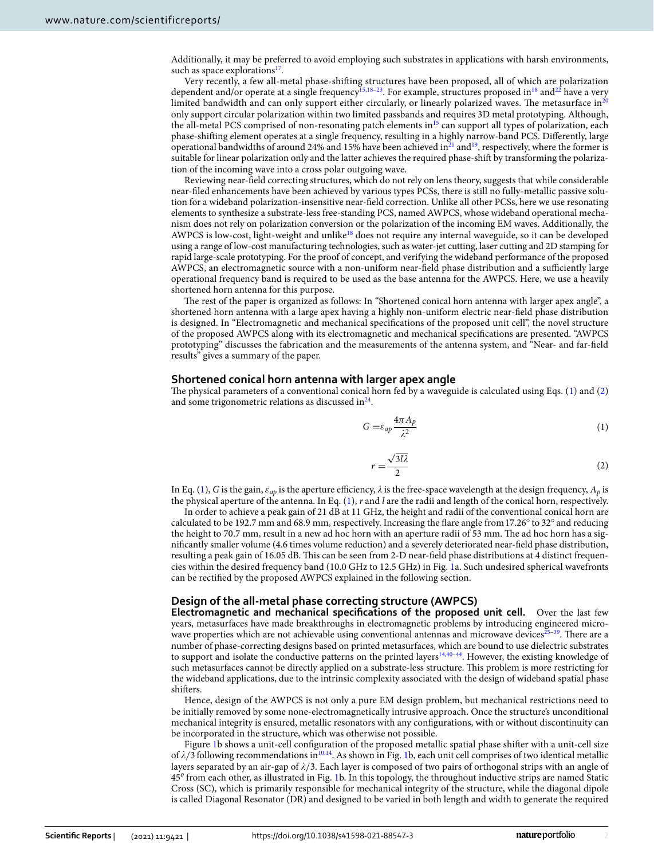Additionally, it may be preferred to avoid employing such substrates in applications with harsh environments, such as space explorations<sup>[17](#page-7-1)</sup>.

Very recently, a few all-metal phase-shifting structures have been proposed, all of which are polarization dependent and/or operate at a single frequency<sup>[15,](#page-7-2)[18–](#page-7-3)[23](#page-7-4)</sup>. For example, structures proposed in<sup>[18](#page-7-3)</sup> and<sup>[22](#page-7-5)</sup> have a very limited bandwidth and can only support either circularly, or linearly polarized waves. The metasurface in<sup>[20](#page-7-6)</sup> only support circular polarization within two limited passbands and requires 3D metal prototyping. Although, the all-metal PCS comprised of non-resonating patch elements in<sup>[15](#page-7-2)</sup> can support all types of polarization, each phase-shifting element operates at a single frequency, resulting in a highly narrow-band PCS. Differently, large operational bandwidths of around 24% and 15% have been achieved in<sup>[21](#page-7-7)</sup> and<sup>[19](#page-7-8)</sup>, respectively, where the former is suitable for linear polarization only and the latter achieves the required phase-shift by transforming the polarization of the incoming wave into a cross polar outgoing wave.

Reviewing near-field correcting structures, which do not rely on lens theory, suggests that while considerable near-filed enhancements have been achieved by various types PCSs, there is still no fully-metallic passive solution for a wideband polarization-insensitive near-field correction. Unlike all other PCSs, here we use resonating elements to synthesize a substrate-less free-standing PCS, named AWPCS, whose wideband operational mechanism does not rely on polarization conversion or the polarization of the incoming EM waves. Additionally, the AWPCS is low-cost, light-weight and unlike<sup>[18](#page-7-3)</sup> does not require any internal waveguide, so it can be developed using a range of low-cost manufacturing technologies, such as water-jet cutting, laser cutting and 2D stamping for rapid large-scale prototyping. For the proof of concept, and verifying the wideband performance of the proposed AWPCS, an electromagnetic source with a non-uniform near-field phase distribution and a sufficiently large operational frequency band is required to be used as the base antenna for the AWPCS. Here, we use a heavily shortened horn antenna for this purpose.

The rest of the paper is organized as follows: In "Shortened conical horn antenna with larger apex angle", a shortened horn antenna with a large apex having a highly non-uniform electric near-field phase distribution is designed. In "Electromagnetic and mechanical specifications of the proposed unit cell", the novel structure of the proposed AWPCS along with its electromagnetic and mechanical specifications are presented. "AWPCS prototyping" discusses the fabrication and the measurements of the antenna system, and "Near- and far-field results" gives a summary of the paper.

#### **Shortened conical horn antenna with larger apex angle**

The physical parameters of a conventional conical horn fed by a waveguide is calculated using Eqs. [\(1\)](#page-1-0) and ([2](#page-1-1)) and some trigonometric relations as discussed in<sup>[24](#page-7-9)</sup>.

$$
G = \varepsilon_{ap} \frac{4\pi A_p}{\lambda^2} \tag{1}
$$

<span id="page-1-1"></span><span id="page-1-0"></span>
$$
r = \frac{\sqrt{3l\lambda}}{2} \tag{2}
$$

In Eq. [\(1\)](#page-1-0), G is the gain,  $\varepsilon_{ap}$  is the aperture efficiency,  $\lambda$  is the free-space wavelength at the design frequency,  $A_p$  is the physical aperture of the antenna. In Eq. ([1](#page-1-0)), r and l are the radii and length of the conical horn, respectively.

In order to achieve a peak gain of 21 dB at 11 GHz, the height and radii of the conventional conical horn are calculated to be 192.7 mm and 68.9 mm, respectively. Increasing the flare angle from 17.26° to 32° and reducing the height to 70.7 mm, result in a new ad hoc horn with an aperture radii of 53 mm. The ad hoc horn has a significantly smaller volume (4.6 times volume reduction) and a severely deteriorated near-field phase distribution, resulting a peak gain of 16.05 dB. This can be seen from 2-D near-field phase distributions at 4 distinct frequencies within the desired frequency band (10.0 GHz to 12.5 GHz) in Fig. [1](#page-2-0)a. Such undesired spherical wavefronts can be rectified by the proposed AWPCS explained in the following section.

#### **Design of the all‑metal phase correcting structure (AWPCS)**

**Electromagnetic and mechanical specifications of the proposed unit cell.** Over the last few years, metasurfaces have made breakthroughs in electromagnetic problems by introducing engineered micro-wave properties which are not achievable using conventional antennas and microwave devices<sup>[25](#page-7-10)-39</sup>. There are a number of phase-correcting designs based on printed metasurfaces, which are bound to use dielectric substrates to support and isolate the conductive patterns on the printed layers<sup>[14](#page-7-12),[40](#page-7-13)[–44](#page-7-14)</sup>. However, the existing knowledge of such metasurfaces cannot be directly applied on a substrate-less structure. This problem is more restricting for the wideband applications, due to the intrinsic complexity associated with the design of wideband spatial phase shifters.

Hence, design of the AWPCS is not only a pure EM design problem, but mechanical restrictions need to be initially removed by some none-electromagnetically intrusive approach. Once the structure's unconditional mechanical integrity is ensured, metallic resonators with any configurations, with or without discontinuity can be incorporated in the structure, which was otherwise not possible.

Figure [1b](#page-2-0) shows a unit-cell configuration of the proposed metallic spatial phase shifter with a unit-cell size of  $\lambda/3$  following recommendations in<sup>[10](#page-6-5),[14](#page-7-12)</sup>. As shown in Fig. [1b](#page-2-0), each unit cell comprises of two identical metallic layers separated by an air-gap of  $\lambda/3$ . Each layer is composed of two pairs of orthogonal strips with an angle of 45<sup>o</sup> from each other, as illustrated in Fig. [1b](#page-2-0). In this topology, the throughout inductive strips are named Static Cross (SC), which is primarily responsible for mechanical integrity of the structure, while the diagonal dipole is called Diagonal Resonator (DR) and designed to be varied in both length and width to generate the required

2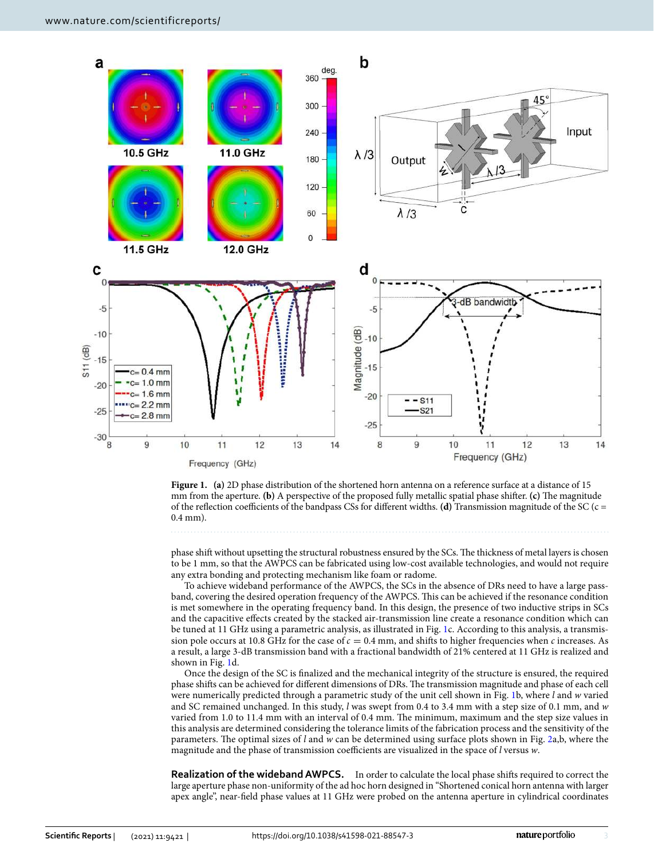

<span id="page-2-0"></span>

phase shift without upsetting the structural robustness ensured by the SCs. The thickness of metal layers is chosen to be 1 mm, so that the AWPCS can be fabricated using low-cost available technologies, and would not require any extra bonding and protecting mechanism like foam or radome.

To achieve wideband performance of the AWPCS, the SCs in the absence of DRs need to have a large passband, covering the desired operation frequency of the AWPCS. This can be achieved if the resonance condition is met somewhere in the operating frequency band. In this design, the presence of two inductive strips in SCs and the capacitive effects created by the stacked air-transmission line create a resonance condition which can be tuned at 11 GHz using a parametric analysis, as illustrated in Fig. [1](#page-2-0)c. According to this analysis, a transmission pole occurs at 10.8 GHz for the case of  $c = 0.4$  mm, and shifts to higher frequencies when c increases. As a result, a large 3-dB transmission band with a fractional bandwidth of 21% centered at 11 GHz is realized and shown in Fig. [1](#page-2-0)d.

Once the design of the SC is finalized and the mechanical integrity of the structure is ensured, the required phase shifts can be achieved for different dimensions of DRs. The transmission magnitude and phase of each cell were numerically predicted through a parametric study of the unit cell shown in Fig. [1b](#page-2-0), where l and w varied and SC remained unchanged. In this study,  $l$  was swept from 0.4 to 3.4 mm with a step size of 0.1 mm, and  $w$ varied from 1.0 to 11.4 mm with an interval of 0.4 mm. The minimum, maximum and the step size values in this analysis are determined considering the tolerance limits of the fabrication process and the sensitivity of the parameters. The optimal sizes of  $l$  and  $w$  can be determined using surface plots shown in Fig. [2](#page-3-0)a,b, where the magnitude and the phase of transmission coefficients are visualized in the space of l versus  $w$ .

**Realization of the wideband AWPCS.** In order to calculate the local phase shifts required to correct the large aperture phase non-uniformity of the ad hoc horn designed in "Shortened conical horn antenna with larger apex angle", near-field phase values at 11 GHz were probed on the antenna aperture in cylindrical coordinates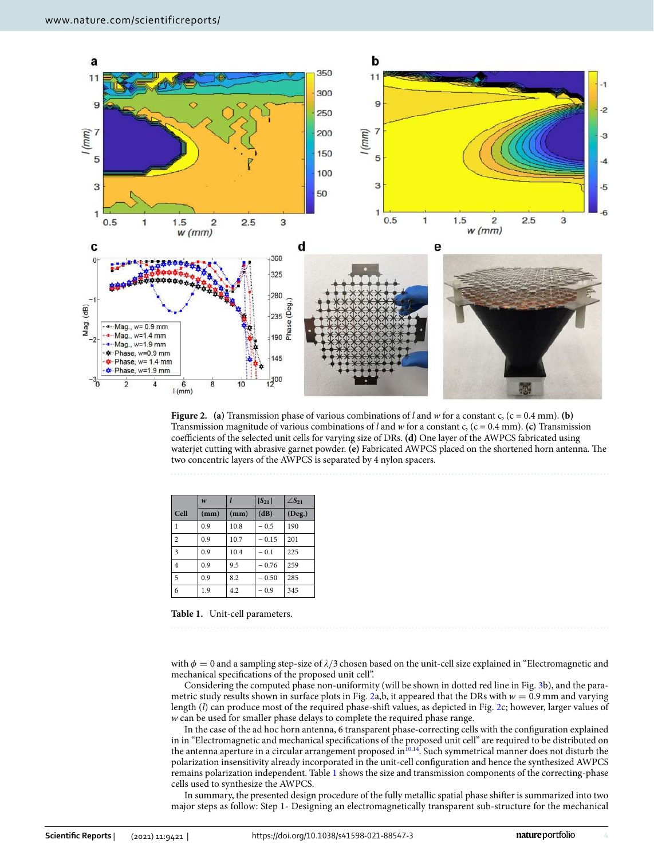

<span id="page-3-0"></span>**Figure 2.** (a) Transmission phase of various combinations of l and w for a constant c,  $(c = 0.4 \text{ mm})$ . (b) Transmission magnitude of various combinations of l and w for a constant c,  $(c = 0.4$  mm). **(c)** Transmission coefficients of the selected unit cells for varying size of DRs. **(d)** One layer of the AWPCS fabricated using waterjet cutting with abrasive garnet powder. **(e)** Fabricated AWPCS placed on the shortened horn antenna. The two concentric layers of the AWPCS is separated by 4 nylon spacers.

|                | $\boldsymbol{w}$ |      | $ S_{21} $ | $\angle S_{21}$ |
|----------------|------------------|------|------------|-----------------|
| Cell           | (mm)             | (mm) | (dB)       | $($ Deg. $)$    |
|                | 0.9              | 10.8 | $-0.5$     | 190             |
| $\overline{c}$ | 0.9              | 10.7 | $-0.15$    | 201             |
| 3              | 0.9              | 10.4 | $-0.1$     | 225             |
| 4              | 0.9              | 9.5  | $-0.76$    | 259             |
| 5              | 0.9              | 8.2  | $-0.50$    | 285             |
| 6              | 1.9              | 4.2  | $-0.9$     | 345             |

<span id="page-3-1"></span>**Table 1.** Unit-cell parameters.

with  $\phi = 0$  and a sampling step-size of  $\lambda/3$  chosen based on the unit-cell size explained in "Electromagnetic and mechanical specifications of the proposed unit cell".

Considering the computed phase non-uniformity (will be shown in dotted red line in Fig. [3](#page-4-0)b), and the para-metric study results shown in surface plots in Fig. [2](#page-3-0)a,b, it appeared that the DRs with  $w = 0.9$  mm and varying length (l) can produce most of the required phase-shift values, as depicted in Fig. [2c](#page-3-0); however, larger values of w can be used for smaller phase delays to complete the required phase range.

In the case of the ad hoc horn antenna, 6 transparent phase-correcting cells with the configuration explained in in "Electromagnetic and mechanical specifications of the proposed unit cell" are required to be distributed on the antenna aperture in a circular arrangement proposed in<sup>[10,](#page-6-5)[14](#page-7-12)</sup>. Such symmetrical manner does not disturb the polarization insensitivity already incorporated in the unit-cell configuration and hence the synthesized AWPCS remains polarization independent. Table [1](#page-3-1) shows the size and transmission components of the correcting-phase cells used to synthesize the AWPCS.

In summary, the presented design procedure of the fully metallic spatial phase shifter is summarized into two major steps as follow: Step 1- Designing an electromagnetically transparent sub-structure for the mechanical

4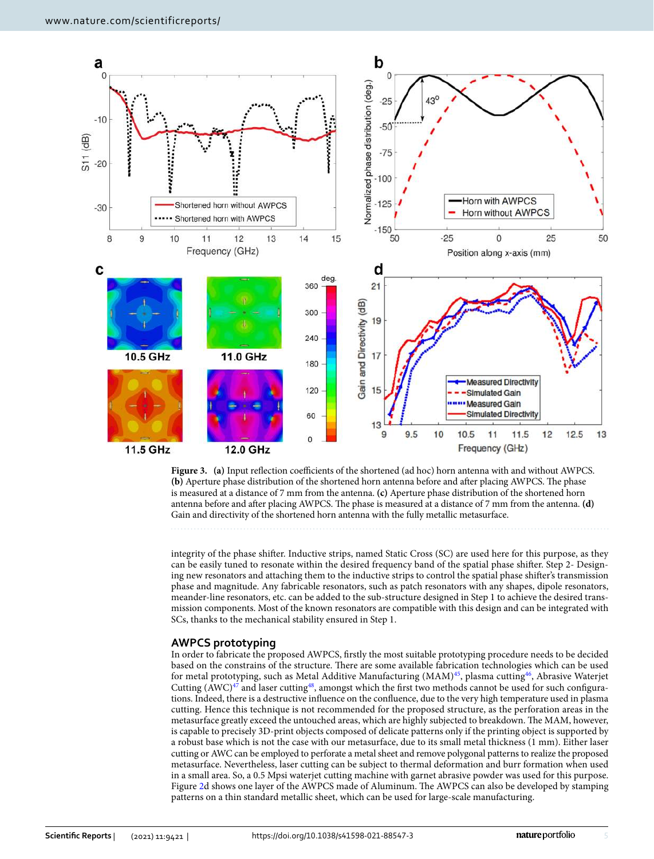

<span id="page-4-0"></span>

integrity of the phase shifter. Inductive strips, named Static Cross (SC) are used here for this purpose, as they can be easily tuned to resonate within the desired frequency band of the spatial phase shifter. Step 2- Designing new resonators and attaching them to the inductive strips to control the spatial phase shifter's transmission phase and magnitude. Any fabricable resonators, such as patch resonators with any shapes, dipole resonators, meander-line resonators, etc. can be added to the sub-structure designed in Step 1 to achieve the desired transmission components. Most of the known resonators are compatible with this design and can be integrated with SCs, thanks to the mechanical stability ensured in Step 1.

### **AWPCS prototyping**

In order to fabricate the proposed AWPCS, firstly the most suitable prototyping procedure needs to be decided based on the constrains of the structure. There are some available fabrication technologies which can be used for metal prototyping, such as Metal Additive Manufacturing (MAM)<sup>[45](#page-7-15)</sup>, plasma cutting<sup>[46](#page-7-16)</sup>, Abrasive Waterjet Cutting  $(AWC)^{47}$  $(AWC)^{47}$  $(AWC)^{47}$  and laser cutting<sup>[48](#page-7-18)</sup>, amongst which the first two methods cannot be used for such configurations. Indeed, there is a destructive influence on the confluence, due to the very high temperature used in plasma cutting. Hence this technique is not recommended for the proposed structure, as the perforation areas in the metasurface greatly exceed the untouched areas, which are highly subjected to breakdown. The MAM, however, is capable to precisely 3D-print objects composed of delicate patterns only if the printing object is supported by a robust base which is not the case with our metasurface, due to its small metal thickness (1 mm). Either laser cutting or AWC can be employed to perforate a metal sheet and remove polygonal patterns to realize the proposed metasurface. Nevertheless, laser cutting can be subject to thermal deformation and burr formation when used in a small area. So, a 0.5 Mpsi waterjet cutting machine with garnet abrasive powder was used for this purpose. Figure [2d](#page-3-0) shows one layer of the AWPCS made of Aluminum. The AWPCS can also be developed by stamping patterns on a thin standard metallic sheet, which can be used for large-scale manufacturing.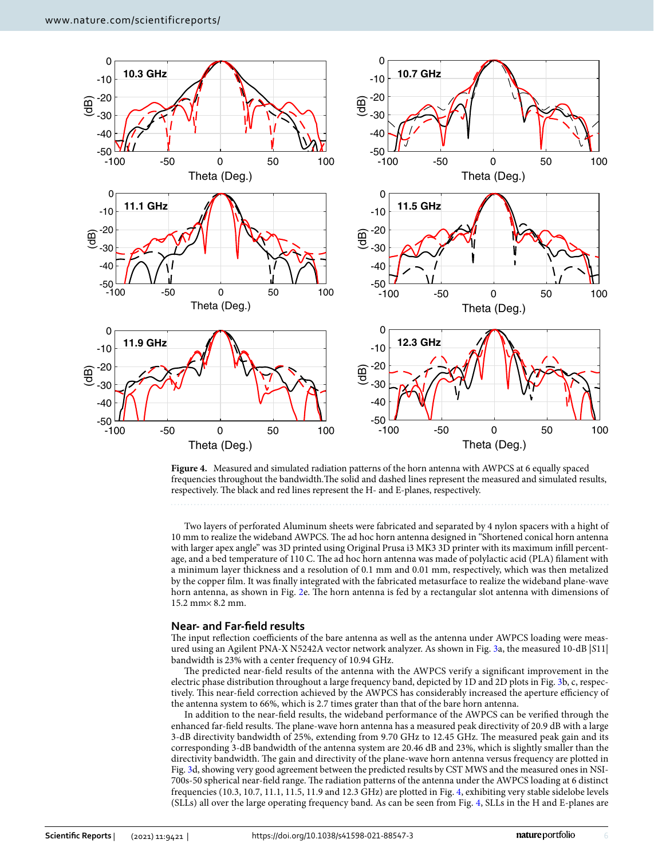

<span id="page-5-0"></span>

Two layers of perforated Aluminum sheets were fabricated and separated by 4 nylon spacers with a hight of 10 mm to realize the wideband AWPCS. The ad hoc horn antenna designed in "Shortened conical horn antenna with larger apex angle" was 3D printed using Original Prusa i3 MK3 3D printer with its maximum infill percentage, and a bed temperature of 110 C. The ad hoc horn antenna was made of polylactic acid (PLA) filament with a minimum layer thickness and a resolution of 0.1 mm and 0.01 mm, respectively, which was then metalized by the copper film. It was finally integrated with the fabricated metasurface to realize the wideband plane-wave horn antenna, as shown in Fig. [2](#page-3-0)e. The horn antenna is fed by a rectangular slot antenna with dimensions of 15.2 mm× 8.2 mm.

#### **Near‑ and Far‑field results**

The input reflection coefficients of the bare antenna as well as the antenna under AWPCS loading were measured using an Agilent PNA-X N5242A vector network analyzer. As shown in Fig. [3a](#page-4-0), the measured 10-dB |S11| bandwidth is 23% with a center frequency of 10.94 GHz.

The predicted near-field results of the antenna with the AWPCS verify a significant improvement in the electric phase distribution throughout a large frequency band, depicted by 1D and 2D plots in Fig. [3](#page-4-0)b, c, respectively. This near-field correction achieved by the AWPCS has considerably increased the aperture efficiency of the antenna system to 66%, which is 2.7 times grater than that of the bare horn antenna.

In addition to the near-field results, the wideband performance of the AWPCS can be verified through the enhanced far-field results. The plane-wave horn antenna has a measured peak directivity of 20.9 dB with a large 3-dB directivity bandwidth of 25%, extending from 9.70 GHz to 12.45 GHz. The measured peak gain and its corresponding 3-dB bandwidth of the antenna system are 20.46 dB and 23%, which is slightly smaller than the directivity bandwidth. The gain and directivity of the plane-wave horn antenna versus frequency are plotted in Fig. [3](#page-4-0)d, showing very good agreement between the predicted results by CST MWS and the measured ones in NSI-700s-50 spherical near-field range. The radiation patterns of the antenna under the AWPCS loading at 6 distinct frequencies (10.3, 10.7, 11.1, 11.5, 11.9 and 12.3 GHz) are plotted in Fig. [4,](#page-5-0) exhibiting very stable sidelobe levels (SLLs) all over the large operating frequency band. As can be seen from Fig. [4,](#page-5-0) SLLs in the H and E-planes are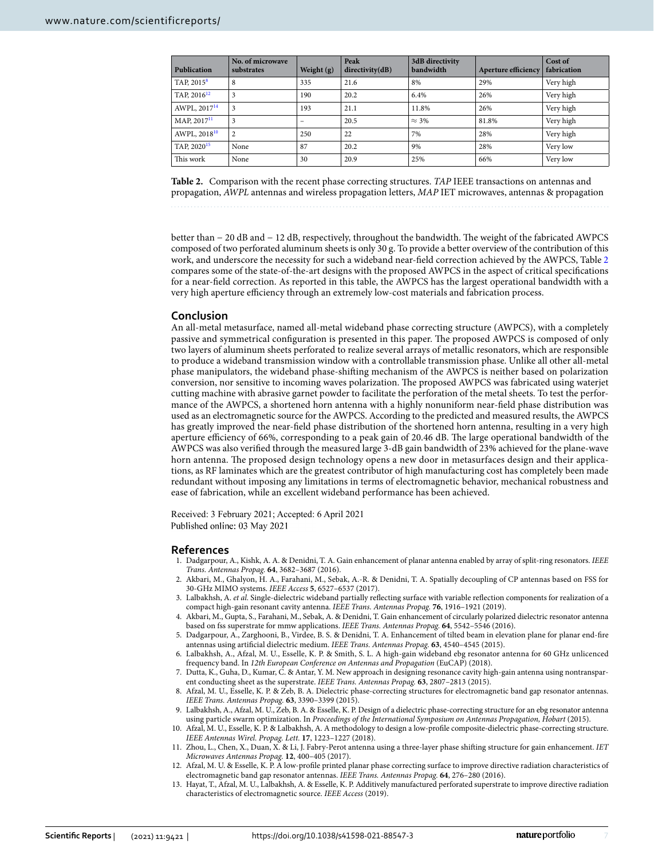| <b>Publication</b>                  | No. of microwave<br>substrates | Weight $(g)$ | Peak<br>directivity(dB) | 3dB directivity<br>bandwidth | Aperture efficiency | Cost of<br>fabrication |
|-------------------------------------|--------------------------------|--------------|-------------------------|------------------------------|---------------------|------------------------|
| TAP, 2015 <sup>8</sup>              | 8                              | 335          | 21.6                    | 8%                           | 29%                 | Very high              |
| TAP, $2016^{12}$                    | 3                              | 190          | 20.2                    | 6.4%                         | 26%                 | Very high              |
| AWPL, 2017 <sup>14</sup>            | 3                              | 193          | 21.1                    | 11.8%                        | 26%                 | Very high              |
| MAP <sub>.</sub> 2017 <sup>11</sup> | 3                              | -            | 20.5                    | $\approx$ 3%                 | 81.8%               | Very high              |
| AWPL, 2018 <sup>10</sup>            | $\overline{2}$                 | 250          | 22                      | 7%                           | 28%                 | Very high              |
| TAP, 2020 <sup>15</sup>             | None                           | 87           | 20.2                    | 9%                           | 28%                 | Very low               |
| This work                           | None                           | 30           | 20.9                    | 25%                          | 66%                 | Very low               |

<span id="page-6-6"></span>**Table 2.** Comparison with the recent phase correcting structures. TAP IEEE transactions on antennas and propagation, AWPL antennas and wireless propagation letters, MAP IET microwaves, antennas & propagation

better than − 20 dB and − 12 dB, respectively, throughout the bandwidth. The weight of the fabricated AWPCS composed of two perforated aluminum sheets is only 30 g. To provide a better overview of the contribution of this work, and underscore the necessity for such a wideband near-field correction achieved by the AWPCS, Table [2](#page-6-6) compares some of the state-of-the-art designs with the proposed AWPCS in the aspect of critical specifications for a near-field correction. As reported in this table, the AWPCS has the largest operational bandwidth with a very high aperture efficiency through an extremely low-cost materials and fabrication process.

#### **Conclusion**

An all-metal metasurface, named all-metal wideband phase correcting structure (AWPCS), with a completely passive and symmetrical configuration is presented in this paper. The proposed AWPCS is composed of only two layers of aluminum sheets perforated to realize several arrays of metallic resonators, which are responsible to produce a wideband transmission window with a controllable transmission phase. Unlike all other all-metal phase manipulators, the wideband phase-shifting mechanism of the AWPCS is neither based on polarization conversion, nor sensitive to incoming waves polarization. The proposed AWPCS was fabricated using waterjet cutting machine with abrasive garnet powder to facilitate the perforation of the metal sheets. To test the performance of the AWPCS, a shortened horn antenna with a highly nonuniform near-field phase distribution was used as an electromagnetic source for the AWPCS. According to the predicted and measured results, the AWPCS has greatly improved the near-field phase distribution of the shortened horn antenna, resulting in a very high aperture efficiency of 66%, corresponding to a peak gain of 20.46 dB. The large operational bandwidth of the AWPCS was also verified through the measured large 3-dB gain bandwidth of 23% achieved for the plane-wave horn antenna. The proposed design technology opens a new door in metasurfaces design and their applications, as RF laminates which are the greatest contributor of high manufacturing cost has completely been made redundant without imposing any limitations in terms of electromagnetic behavior, mechanical robustness and ease of fabrication, while an excellent wideband performance has been achieved.

Received: 3 February 2021; Accepted: 6 April 2021 Published online: 03 May 2021

#### **References**

- <span id="page-6-0"></span> 1. Dadgarpour, A., Kishk, A. A. & Denidni, T. A. Gain enhancement of planar antenna enabled by array of split-ring resonators. IEEE Trans. Antennas Propag. **64**, 3682–3687 (2016).
- <span id="page-6-1"></span> 2. Akbari, M., Ghalyon, H. A., Farahani, M., Sebak, A.-R. & Denidni, T. A. Spatially decoupling of CP antennas based on FSS for 30-GHz MIMO systems. IEEE Access **5**, 6527–6537 (2017).
- 3. Lalbakhsh, A. et al. Single-dielectric wideband partially reflecting surface with variable reflection components for realization of a compact high-gain resonant cavity antenna. IEEE Trans. Antennas Propag. **76**, 1916–1921 (2019).
- 4. Akbari, M., Gupta, S., Farahani, M., Sebak, A. & Denidni, T. Gain enhancement of circularly polarized dielectric resonator antenna based on fss superstrate for mmw applications. IEEE Trans. Antennas Propag. **64**, 5542–5546 (2016).
- 5. Dadgarpour, A., Zarghooni, B., Virdee, B. S. & Denidni, T. A. Enhancement of tilted beam in elevation plane for planar end-fire antennas using artificial dielectric medium. IEEE Trans. Antennas Propag. **63**, 4540–4545 (2015).
- 6. Lalbakhsh, A., Afzal, M. U., Esselle, K. P. & Smith, S. L. A high-gain wideband ebg resonator antenna for 60 GHz unlicenced frequency band. In 12th European Conference on Antennas and Propagation (EuCAP) (2018).
- <span id="page-6-2"></span> 7. Dutta, K., Guha, D., Kumar, C. & Antar, Y. M. New approach in designing resonance cavity high-gain antenna using nontransparent conducting sheet as the superstrate. IEEE Trans. Antennas Propag. **63**, 2807–2813 (2015).
- <span id="page-6-3"></span> 8. Afzal, M. U., Esselle, K. P. & Zeb, B. A. Dielectric phase-correcting structures for electromagnetic band gap resonator antennas. IEEE Trans. Antennas Propag. **63**, 3390–3399 (2015).
- <span id="page-6-4"></span> 9. Lalbakhsh, A., Afzal, M. U., Zeb, B. A. & Esselle, K. P. Design of a dielectric phase-correcting structure for an ebg resonator antenna using particle swarm optimization. In Proceedings of the International Symposium on Antennas Propagation, Hobart (2015).
- <span id="page-6-5"></span> 10. Afzal, M. U., Esselle, K. P. & Lalbakhsh, A. A methodology to design a low-profile composite-dielectric phase-correcting structure. IEEE Antennas Wirel. Propag. Lett. **17**, 1223–1227 (2018).
- <span id="page-6-8"></span> 11. Zhou, L., Chen, X., Duan, X. & Li, J. Fabry-Perot antenna using a three-layer phase shifting structure for gain enhancement. IET Microwaves Antennas Propag. **12**, 400–405 (2017).
- <span id="page-6-7"></span> 12. Afzal, M. U. & Esselle, K. P. A low-profile printed planar phase correcting surface to improve directive radiation characteristics of electromagnetic band gap resonator antennas. IEEE Trans. Antennas Propag. **64**, 276–280 (2016).
- 13. Hayat, T., Afzal, M. U., Lalbakhsh, A. & Esselle, K. P. Additively manufactured perforated superstrate to improve directive radiation characteristics of electromagnetic source. IEEE Access (2019).

7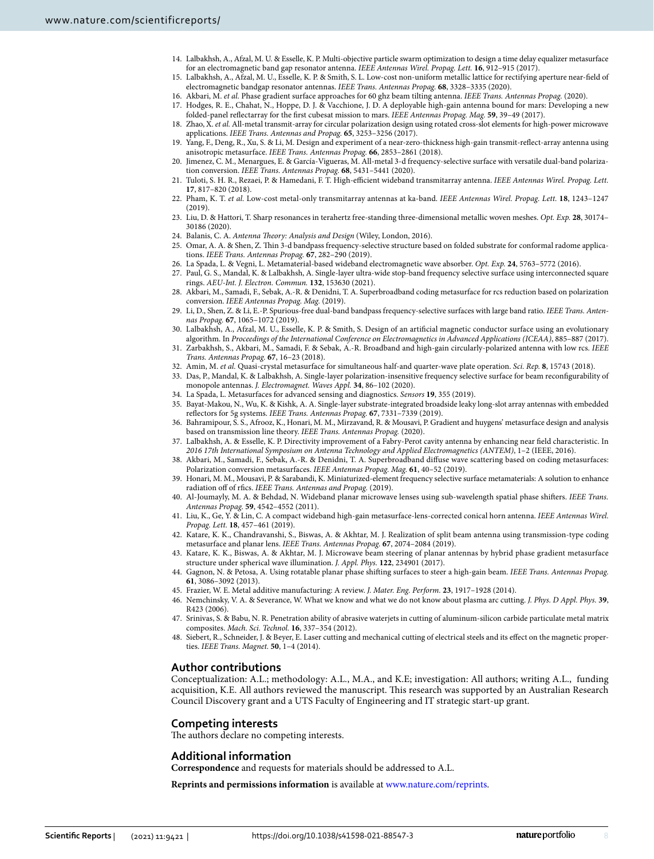- <span id="page-7-12"></span> 14. Lalbakhsh, A., Afzal, M. U. & Esselle, K. P. Multi-objective particle swarm optimization to design a time delay equalizer metasurface for an electromagnetic band gap resonator antenna. IEEE Antennas Wirel. Propag. Lett. **16**, 912–915 (2017).
- <span id="page-7-2"></span> 15. Lalbakhsh, A., Afzal, M. U., Esselle, K. P. & Smith, S. L. Low-cost non-uniform metallic lattice for rectifying aperture near-field of electromagnetic bandgap resonator antennas. IEEE Trans. Antennas Propag. **68**, 3328–3335 (2020).
- <span id="page-7-0"></span>16. Akbari, M. et al. Phase gradient surface approaches for 60 ghz beam tilting antenna. IEEE Trans. Antennas Propag. (2020).
- <span id="page-7-1"></span> 17. Hodges, R. E., Chahat, N., Hoppe, D. J. & Vacchione, J. D. A deployable high-gain antenna bound for mars: Developing a new folded-panel reflectarray for the first cubesat mission to mars. IEEE Antennas Propag. Mag. **59**, 39–49 (2017).
- <span id="page-7-3"></span> 18. Zhao, X. et al. All-metal transmit-array for circular polarization design using rotated cross-slot elements for high-power microwave applications. IEEE Trans. Antennas and Propag. **65**, 3253–3256 (2017).
- <span id="page-7-8"></span> 19. Yang, F., Deng, R., Xu, S. & Li, M. Design and experiment of a near-zero-thickness high-gain transmit-reflect-array antenna using anisotropic metasurface. IEEE Trans. Antennas Propag. **66**, 2853–2861 (2018).
- <span id="page-7-6"></span> 20. Jimenez, C. M., Menargues, E. & García-Vigueras, M. All-metal 3-d frequency-selective surface with versatile dual-band polarization conversion. IEEE Trans. Antennas Propag. **68**, 5431–5441 (2020).
- <span id="page-7-7"></span> 21. Tuloti, S. H. R., Rezaei, P. & Hamedani, F. T. High-efficient wideband transmitarray antenna. IEEE Antennas Wirel. Propag. Lett. **17**, 817–820 (2018).
- <span id="page-7-5"></span> 22. Pham, K. T. et al. Low-cost metal-only transmitarray antennas at ka-band. IEEE Antennas Wirel. Propag. Lett. **18**, 1243–1247 (2019).
- <span id="page-7-4"></span> 23. Liu, D. & Hattori, T. Sharp resonances in terahertz free-standing three-dimensional metallic woven meshes. Opt. Exp. **28**, 30174– 30186 (2020).
- <span id="page-7-9"></span>24. Balanis, C. A. Antenna Theory: Analysis and Design (Wiley, London, 2016).
- <span id="page-7-10"></span> 25. Omar, A. A. & Shen, Z. Thin 3-d bandpass frequency-selective structure based on folded substrate for conformal radome applications. IEEE Trans. Antennas Propag. **67**, 282–290 (2019).
- 26. La Spada, L. & Vegni, L. Metamaterial-based wideband electromagnetic wave absorber. Opt. Exp. **24**, 5763–5772 (2016).
- 27. Paul, G. S., Mandal, K. & Lalbakhsh, A. Single-layer ultra-wide stop-band frequency selective surface using interconnected square rings. AEU-Int. J. Electron. Commun. **132**, 153630 (2021).
- 28. Akbari, M., Samadi, F., Sebak, A.-R. & Denidni, T. A. Superbroadband coding metasurface for rcs reduction based on polarization conversion. IEEE Antennas Propag. Mag. (2019).
- 29. Li, D., Shen, Z. & Li, E.-P. Spurious-free dual-band bandpass frequency-selective surfaces with large band ratio. IEEE Trans. Antennas Propag. **67**, 1065–1072 (2019).
- 30. Lalbakhsh, A., Afzal, M. U., Esselle, K. P. & Smith, S. Design of an artificial magnetic conductor surface using an evolutionary algorithm. In Proceedings of the International Conference on Electromagnetics in Advanced Applications (ICEAA), 885–887 (2017).
- 31. Zarbakhsh, S., Akbari, M., Samadi, F. & Sebak, A.-R. Broadband and high-gain circularly-polarized antenna with low rcs. IEEE Trans. Antennas Propag. **67**, 16–23 (2018).
- 32. Amin, M. et al. Quasi-crystal metasurface for simultaneous half-and quarter-wave plate operation. Sci. Rep. **8**, 15743 (2018).
- 33. Das, P., Mandal, K. & Lalbakhsh, A. Single-layer polarization-insensitive frequency selective surface for beam reconfigurability of monopole antennas. J. Electromagnet. Waves Appl. **34**, 86–102 (2020).
- 34. La Spada, L. Metasurfaces for advanced sensing and diagnostics. Sensors **19**, 355 (2019).
- 35. Bayat-Makou, N., Wu, K. & Kishk, A. A. Single-layer substrate-integrated broadside leaky long-slot array antennas with embedded reflectors for 5g systems. IEEE Trans. Antennas Propag. **67**, 7331–7339 (2019).
- 36. Bahramipour, S. S., Afrooz, K., Honari, M. M., Mirzavand, R. & Mousavi, P. Gradient and huygens' metasurface design and analysis based on transmission line theory. IEEE Trans. Antennas Propag. (2020).
- 37. Lalbakhsh, A. & Esselle, K. P. Directivity improvement of a Fabry-Perot cavity antenna by enhancing near field characteristic. In 2016 17th International Symposium on Antenna Technology and Applied Electromagnetics (ANTEM), 1–2 (IEEE, 2016).
- 38. Akbari, M., Samadi, F., Sebak, A.-R. & Denidni, T. A. Superbroadband diffuse wave scattering based on coding metasurfaces: Polarization conversion metasurfaces. IEEE Antennas Propag. Mag. **61**, 40–52 (2019).
- <span id="page-7-11"></span> 39. Honari, M. M., Mousavi, P. & Sarabandi, K. Miniaturized-element frequency selective surface metamaterials: A solution to enhance radiation off of rfics. IEEE Trans. Antennas and Propag. (2019).
- <span id="page-7-13"></span> 40. Al-Joumayly, M. A. & Behdad, N. Wideband planar microwave lenses using sub-wavelength spatial phase shifters. IEEE Trans. Antennas Propag. **59**, 4542–4552 (2011).
- 41. Liu, K., Ge, Y. & Lin, C. A compact wideband high-gain metasurface-lens-corrected conical horn antenna. IEEE Antennas Wirel. Propag. Lett. **18**, 457–461 (2019).
- 42. Katare, K. K., Chandravanshi, S., Biswas, A. & Akhtar, M. J. Realization of split beam antenna using transmission-type coding metasurface and planar lens. IEEE Trans. Antennas Propag. **67**, 2074–2084 (2019).
- 43. Katare, K. K., Biswas, A. & Akhtar, M. J. Microwave beam steering of planar antennas by hybrid phase gradient metasurface structure under spherical wave illumination. J. Appl. Phys. **122**, 234901 (2017).
- <span id="page-7-14"></span> 44. Gagnon, N. & Petosa, A. Using rotatable planar phase shifting surfaces to steer a high-gain beam. IEEE Trans. Antennas Propag. **61**, 3086–3092 (2013).
- <span id="page-7-15"></span>45. Frazier, W. E. Metal additive manufacturing: A review. J. Mater. Eng. Perform. **23**, 1917–1928 (2014).
- <span id="page-7-16"></span> 46. Nemchinsky, V. A. & Severance, W. What we know and what we do not know about plasma arc cutting. J. Phys. D Appl. Phys. **39**, R423 (2006).
- <span id="page-7-17"></span> 47. Srinivas, S. & Babu, N. R. Penetration ability of abrasive waterjets in cutting of aluminum-silicon carbide particulate metal matrix composites. Mach. Sci. Technol. **16**, 337–354 (2012).
- <span id="page-7-18"></span> 48. Siebert, R., Schneider, J. & Beyer, E. Laser cutting and mechanical cutting of electrical steels and its effect on the magnetic properties. IEEE Trans. Magnet. **50**, 1–4 (2014).

#### **Author contributions**

Conceptualization: A.L.; methodology: A.L., M.A., and K.E; investigation: All authors; writing A.L., funding acquisition, K.E. All authors reviewed the manuscript. This research was supported by an Australian Research Council Discovery grant and a UTS Faculty of Engineering and IT strategic start-up grant.

#### **Competing interests**

The authors declare no competing interests.

#### **Additional information**

**Correspondence** and requests for materials should be addressed to A.L.

**Reprints and permissions information** is available at [www.nature.com/reprints.](www.nature.com/reprints)